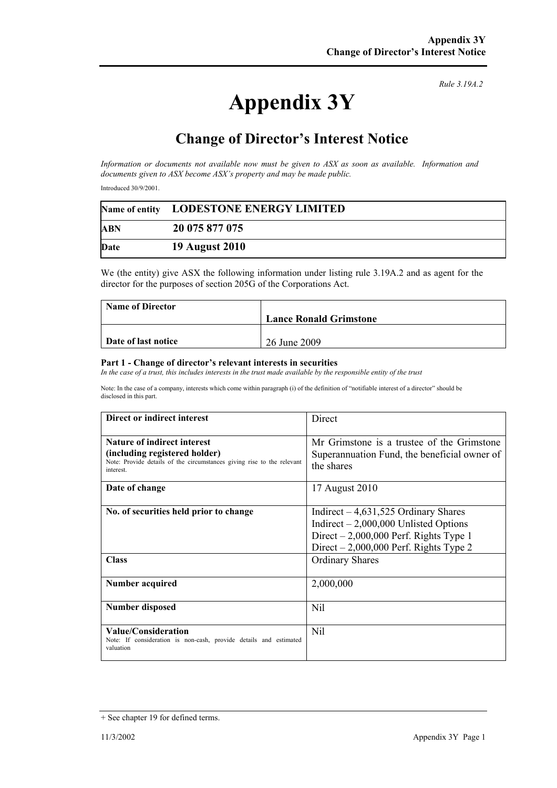## **Appendix 3Y**

*Rule 3.19A.2*

## **Change of Director's Interest Notice**

*Information or documents not available now must be given to ASX as soon as available. Information and documents given to ASX become ASX's property and may be made public.* 

Introduced 30/9/2001.

|            | Name of entity LODESTONE ENERGY LIMITED |
|------------|-----------------------------------------|
| <b>ABN</b> | 20 075 877 075                          |
| Date       | <b>19 August 2010</b>                   |

We (the entity) give ASX the following information under listing rule 3.19A.2 and as agent for the director for the purposes of section 205G of the Corporations Act.

| <b>Name of Director</b> |                               |
|-------------------------|-------------------------------|
|                         | <b>Lance Ronald Grimstone</b> |
|                         |                               |
| Date of last notice     | 26 June 2009                  |

## **Part 1 - Change of director's relevant interests in securities**

In the case of a trust, this includes interests in the trust made available by the responsible entity of the trust

Note: In the case of a company, interests which come within paragraph (i) of the definition of "notifiable interest of a director" should be disclosed in this part.

| Direct or indirect interest                                                                                                                                       | Direct                                                                                                                                                                |
|-------------------------------------------------------------------------------------------------------------------------------------------------------------------|-----------------------------------------------------------------------------------------------------------------------------------------------------------------------|
| <b>Nature of indirect interest</b><br>(including registered holder)<br>Note: Provide details of the circumstances giving rise to the relevant<br><i>interest.</i> | Mr Grimstone is a trustee of the Grimstone<br>Superannuation Fund, the beneficial owner of<br>the shares                                                              |
| Date of change                                                                                                                                                    | 17 August 2010                                                                                                                                                        |
| No. of securities held prior to change                                                                                                                            | Indirect $-4,631,525$ Ordinary Shares<br>Indirect $-2,000,000$ Unlisted Options<br>Direct $-2,000,000$ Perf. Rights Type 1<br>Direct $-2,000,000$ Perf. Rights Type 2 |
| <b>Class</b>                                                                                                                                                      | <b>Ordinary Shares</b>                                                                                                                                                |
| Number acquired                                                                                                                                                   | 2,000,000                                                                                                                                                             |
| Number disposed                                                                                                                                                   | Nil                                                                                                                                                                   |
| Value/Consideration<br>Note: If consideration is non-cash, provide details and estimated<br>valuation                                                             | Nil                                                                                                                                                                   |

<sup>+</sup> See chapter 19 for defined terms.